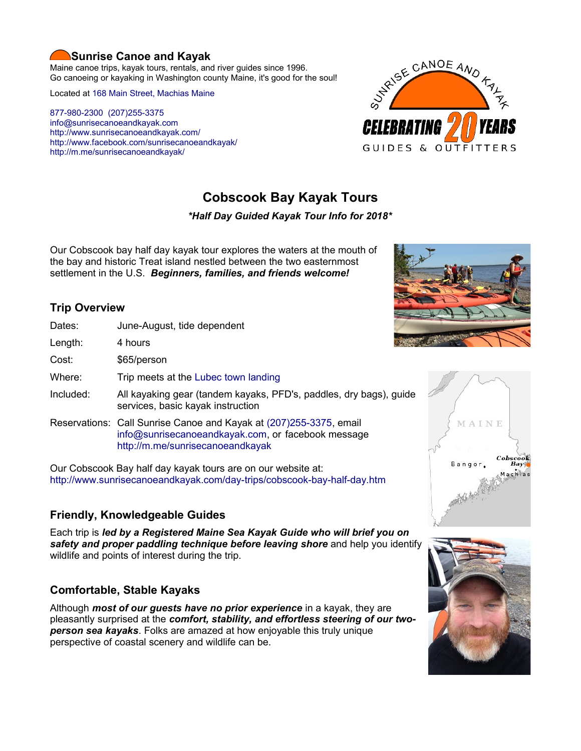#### **Sunrise Canoe and Kayak**

Maine canoe trips, kayak tours, rentals, and river guides since 1996. Go canoeing or kayaking in Washington county Maine, it's good for the soul!

Located at [168 Main Street, Machias Maine](https://www.google.com/maps/place/Sunrise+Canoe+and+Kayak/@44.7213453,-67.4499306,520m/data=!3m2!1e3!4b1!4m5!3m4!1s0x4ca8cddc0180f8e7:0x696322ccd6ce6621!8m2!3d44.7213415!4d-67.4477419?hl=en)

[877-980-2300](tel:+1-877-980-2300) [\(207\)255-3375](tel:+1-207-255-3375) [info@sunrisecanoeandkayak.com](mailto:info@sunrisecanoeandkayak.com) <http://www.sunrisecanoeandkayak.com/> [http://www.facebook.com/sunrisecanoeandkayak/](https://www.facebook.com/sunrisecanoeandkayak/) <http://m.me/sunrisecanoeandkayak/>



# **Cobscook Bay Kayak Tours**

#### *\*Half Day Guided Kayak Tour Info for 2018\**

Our Cobscook bay half day kayak tour explores the waters at the mouth of the bay and historic Treat island nestled between the two easternmost settlement in the U.S. *Beginners, families, and friends welcome!*

# **Trip Overview**

- Length: 4 hours
	- Cost: \$65/person
	- Where: Trip meets at the [Lubec town landing](https://www.google.com/maps/place/44%C2%B051)

Dates: June-August, tide dependent

- Included: All kayaking gear (tandem kayaks, PFD's, paddles, dry bags), guide services, basic kayak instruction
- Reservations: Call Sunrise Canoe and Kayak at [\(207\)255-3375,](tel:+1-207-255-3375) email [info@sunrisecanoeandkayak.com,](mailto:info@sunrisecanoeandkayak.com) or facebook message <http://m.me/sunrisecanoeandkayak>

Our Cobscook Bay half day kayak tours are on our website at: <http://www.sunrisecanoeandkayak.com/day-trips/cobscook-bay-half-day.htm>

# **Friendly, Knowledgeable Guides**

Each trip is *led by a Registered Maine Sea Kayak Guide who will brief you on safety and proper paddling technique before leaving shore* and help you identify wildlife and points of interest during the trip.

# **Comfortable, Stable Kayaks**

Although *most of our guests have no prior experience* in a kayak, they are pleasantly surprised at the *comfort, stability, and effortless steering of our twoperson sea kayaks*. Folks are amazed at how enjoyable this truly unique perspective of coastal scenery and wildlife can be.